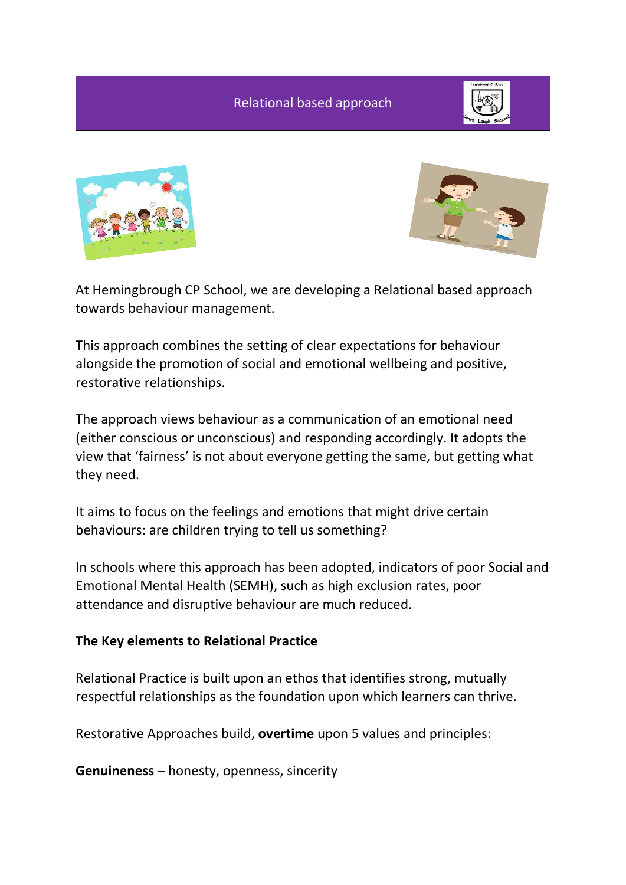Relational based approach







At Hemingbrough CP School, we are developing a Relational based approach towards behaviour management.

This approach combines the setting of clear expectations for behaviour alongside the promotion of social and emotional wellbeing and positive, restorative relationships.

The approach views behaviour as a communication of an emotional need (either conscious or unconscious) and responding accordingly. It adopts the view that 'fairness' is not about everyone getting the same, but getting what they need.

It aims to focus on the feelings and emotions that might drive certain behaviours: are children trying to tell us something?

In schools where this approach has been adopted, indicators of poor Social and Emotional Mental Health (SEMH), such as high exclusion rates, poor attendance and disruptive behaviour are much reduced.

## **The Key elements to Relational Practice**

Relational Practice is built upon an ethos that identifies strong, mutually respectful relationships as the foundation upon which learners can thrive.

Restorative Approaches build, **overtime** upon 5 values and principles:

**Genuineness** – honesty, openness, sincerity